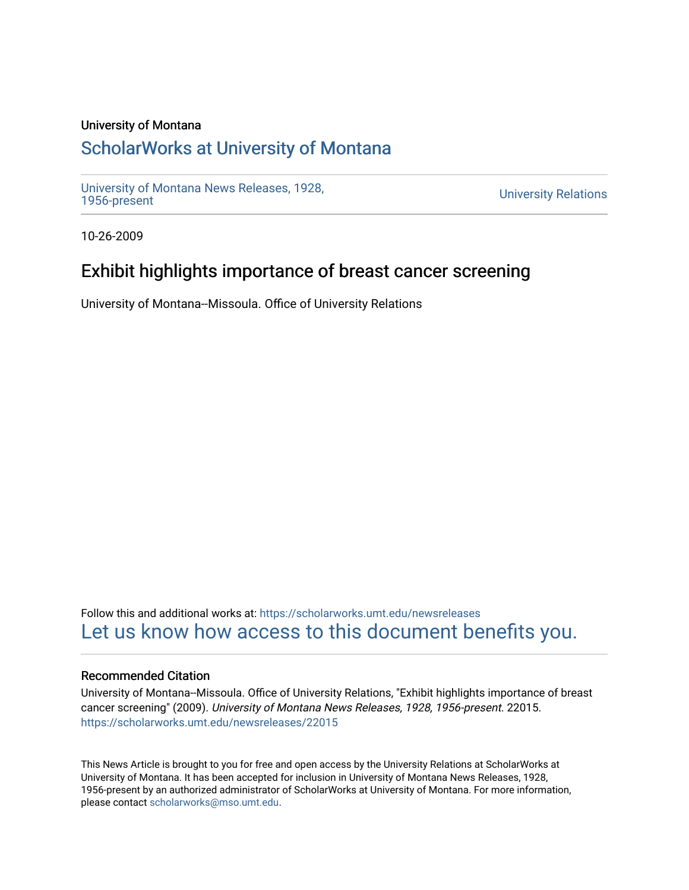## University of Montana

## [ScholarWorks at University of Montana](https://scholarworks.umt.edu/)

[University of Montana News Releases, 1928,](https://scholarworks.umt.edu/newsreleases) 

**University Relations** 

10-26-2009

## Exhibit highlights importance of breast cancer screening

University of Montana--Missoula. Office of University Relations

Follow this and additional works at: [https://scholarworks.umt.edu/newsreleases](https://scholarworks.umt.edu/newsreleases?utm_source=scholarworks.umt.edu%2Fnewsreleases%2F22015&utm_medium=PDF&utm_campaign=PDFCoverPages) [Let us know how access to this document benefits you.](https://goo.gl/forms/s2rGfXOLzz71qgsB2) 

### Recommended Citation

University of Montana--Missoula. Office of University Relations, "Exhibit highlights importance of breast cancer screening" (2009). University of Montana News Releases, 1928, 1956-present. 22015. [https://scholarworks.umt.edu/newsreleases/22015](https://scholarworks.umt.edu/newsreleases/22015?utm_source=scholarworks.umt.edu%2Fnewsreleases%2F22015&utm_medium=PDF&utm_campaign=PDFCoverPages) 

This News Article is brought to you for free and open access by the University Relations at ScholarWorks at University of Montana. It has been accepted for inclusion in University of Montana News Releases, 1928, 1956-present by an authorized administrator of ScholarWorks at University of Montana. For more information, please contact [scholarworks@mso.umt.edu.](mailto:scholarworks@mso.umt.edu)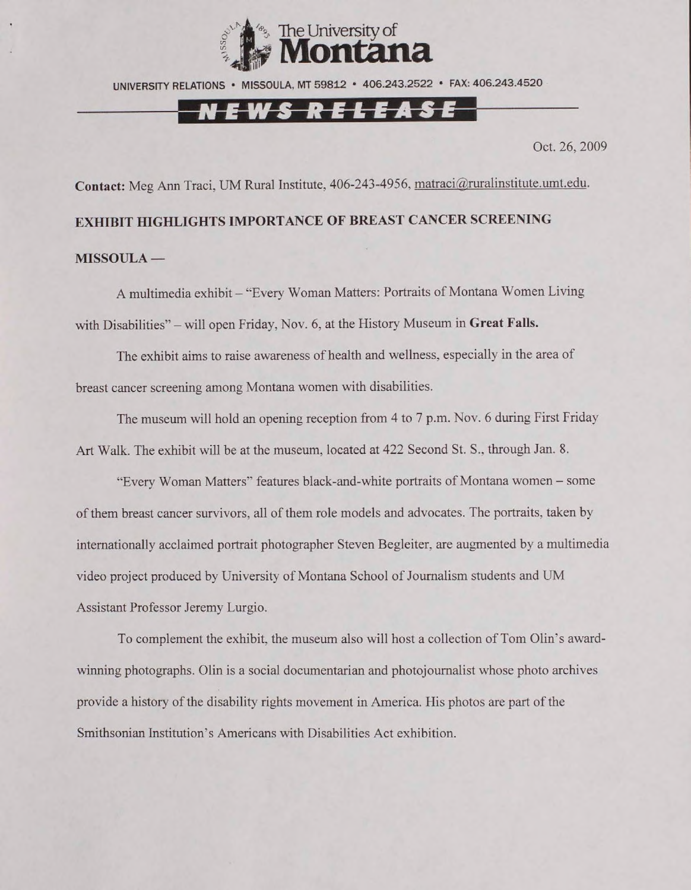

UNIVERSITY RELATIONS ■ MISSOULA, MT 59812 • 406.243.2522 • FAX: 406.243.4520

# *-rw* **l***A*

Oct. 26, 2009

Contact: Meg Ann Traci, UM Rural Institute, 406-243-4956, matraci@ruralinstitute.umt.edu.

# **EXHIBIT HIGHLIGHTS IMPORTANCE OF BREAST CANCER SCREENING MISSOULA —**

A multimedia exhibit - "Every Woman Matters: Portraits of Montana Women Living with Disabilities" - will open Friday, Nov. 6, at the History Museum in **Great Falls.**

The exhibit aims to raise awareness of health and wellness, especially in the area of breast cancer screening among Montana women with disabilities.

The museum will hold an opening reception from 4 to 7 p.m. Nov. 6 during First Friday Art Walk. The exhibit will be at the museum, located at 422 Second St. S.. through Jan. 8.

"Every Woman Matters" features black-and-white portraits of Montana women - some of them breast cancer survivors, all of them role models and advocates. The portraits, taken by internationally acclaimed portrait photographer Steven Begleiter. are augmented by a multimedia video project produced by University of Montana School of Journalism students and UM Assistant Professor Jeremy Lurgio.

To complement the exhibit, the museum also will host a collection of Tom Olin's awardwinning photographs. Olin is a social documentarian and photojoumalist whose photo archives provide a history of the disability rights movement in America. Flis photos are part of the Smithsonian Institution's Americans with Disabilities Act exhibition.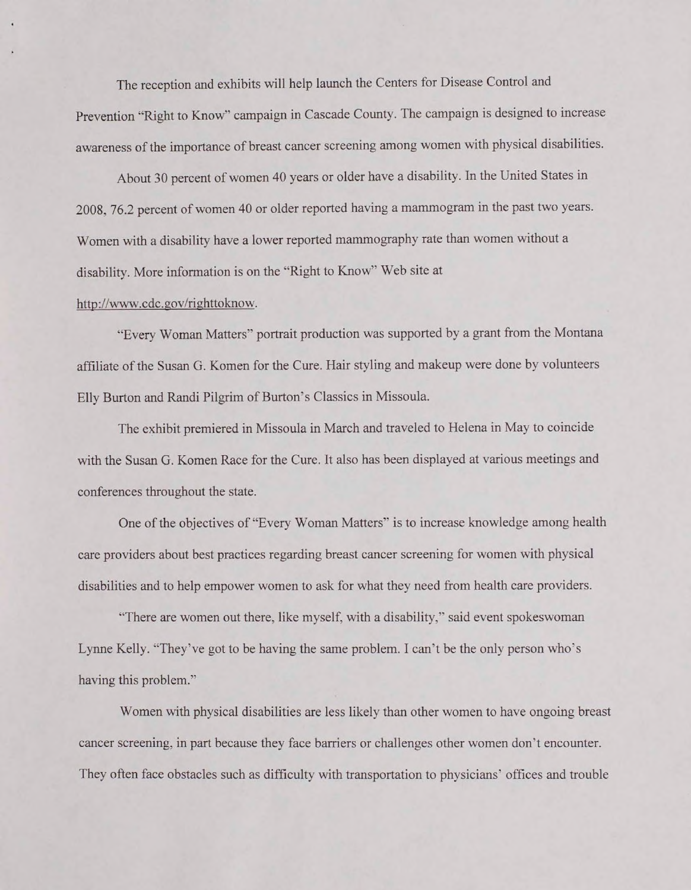The reception and exhibits will help launch the Centers for Disease Control and Prevention "Right to Know" campaign in Cascade County. The campaign is designed to increase awareness of the importance of breast cancer screening among women with physical disabilities.

About 30 percent of women 40 years or older have a disability. In the United States in 2008, 76.2 percent of women 40 or older reported having a mammogram in the past two years. Women with a disability have a lower reported mammography rate than women without a disability. More information is on the "Right to Know" Web site at

### <http://www.cdc.gov/righttoknow>.

"Every Woman Matters" portrait production was supported by a grant from the Montana affiliate of the Susan G. Komen for the Cure. Hair styling and makeup were done by volunteers Elly Burton and Randi Pilgrim of Burton's Classics in Missoula.

The exhibit premiered in Missoula in March and traveled to Helena in May to coincide with the Susan G. Komen Race for the Cure. It also has been displayed at various meetings and conferences throughout the state.

One of the objectives of "Every Woman Matters" is to increase knowledge among health care providers about best practices regarding breast cancer screening for women with physical disabilities and to help empower women to ask for what they need from health care providers.

"There are women out there, like myself, with a disability," said event spokeswoman Lynne Kelly. "They've got to be having the same problem. 1 can't be the only person who's having this problem."

Women with physical disabilities are less likely than other women to have ongoing breast cancer screening, in part because they face barriers or challenges other women don't encounter. They often face obstacles such as difficulty with transportation to physicians' offices and trouble